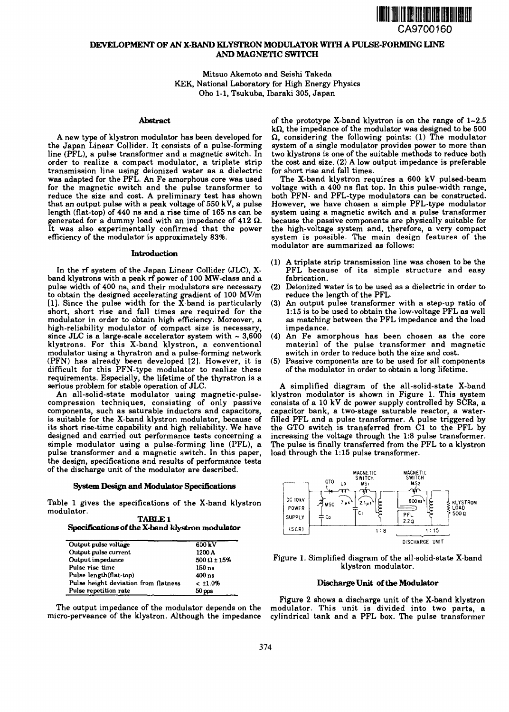

# **DEVELOPMENT OF AN X-BAND KLYSTRON MODULATOR WITH A PULSE-FORMING LINE AND MAGNETIC SWITCH**

Mitsuo Akemoto and Seishi Takeda KEK, National Laboratory for High Energy Physics Oho 1-1, Tsukuba, Ibaraki 305, Japan

### **Abstract**

A new type of klystron modulator has been developed for the Japan Linear Collider. It consists of a pulse-forming line (PFL), a pulse transformer and a magnetic switch. In order to realize a compact modulator, a triplate strip transmission line using deionized water as a dielectric was adapted for the PFL. An Fe amorphous core was used for the magnetic switch and the pulse transformer to reduce the size and cost. A preliminary test has shown that an output pulse with a peak voltage of 550 kV, a pulse length (flat-top) of 440 ns and a rise time of 165 ns can be generated for a dummy load with an impedance of 412  $\Omega$ . It was also experimentally confirmed that the power efficiency of the modulator is approximately 83%.

#### **Introduction**

In the rf system of the Japan Linear Collider (JLC), Xband klystrons with a peak rf power of 100 MW-class and a pulse width of 400 ns, and their modulators are necessary to obtain the designed accelerating gradient of 100 MV/m [1]. Since the pulse width for the X-band is particularly short, short rise and fall times are required for the modulator in order to obtain high efficiency. Moreover, a high-reliability modulator of compact size is necessary, since JLC is a large-scale accelerator system with  $\sim 3,600$ klystrons. For this X-band klystron, a conventional modulator using a thyratron and a pulse-forming network (PFN) has already been developed [2]. However, it is difficult for this PFN-type modulator to realize these requirements. Especially, the lifetime of the thyratron is a serious problem for stable operation of JLC.

An all-solid-state modulator using magnetic-pulsecompression techniques, consisting of only passive components, such as saturable inductors and capacitors, is suitable for the X-band klystron modulator, because of its short rise-time capability and high reliability. We have designed and carried out performance tests concerning a simple modulator using a pulse-forming line (PFL), a pulse transformer and a magnetic switch. In this paper, the design, specifications and results of performance tests of the discharge unit of the modulator are described.

## **System Design and Modulator Specifications**

Table 1 gives the specifications of the X-band klystron modulator.

| <b>TABLE 1</b>                                  |
|-------------------------------------------------|
| Specifications of the X-band klystron modulator |

| Output pulse voltage                 | 600 kV                |
|--------------------------------------|-----------------------|
| Output pulse current                 | 1200 A                |
| Output impedance                     | $500 \Omega \pm 15\%$ |
| Pulse rise time                      | 150 ns                |
| Pulse length(flat-top)               | 400 ns                |
| Pulse height deviation from flatness | < 11.0%               |
| Pulse repetition rate                | 50 <sub>pps</sub>     |

The output impedance of the modulator depends on the micro-perveance of the klystron. Although the impedance

of the prototype X-band klystron is on the range of  $1-2.5$  $k\Omega$ , the impedance of the modulator was designed to be 500  $\Omega$ , considering the following points: (1) The modulator system of a single modulator provides power to more than two klystrons is one of the suitable methods to reduce both the cost and size. (2) A low output impedance is preferable for short rise and fall times.

The X-band klystron requires a 600 kV pulsed-beam voltage with a 400 ns flat top. In this pulse-width range, both PFN- and PFL-type modulators can be constructed. However, we have chosen a simple PFL-type modulator system using a magnetic switch and a pulse transformer because the passive components are physically suitable for the high-voltage system and, therefore, a very compact system is possible. The main design features of the modulator are summarized as follows:

- (1) A triplate strip transmission line was chosen to be the PFL because of its simple structure and easy fabrication.
- (2) Deionized water is to be used as a dielectric in order to reduce the length of the PFL.
- (3) An output pulse transformer with a step-up ratio of 1:15 is to be used to obtain the low-voltage PFL as well as matching between the PFL impedance and the load impedance.
- (4) An Fe amorphous has been chosen as the core material of the pulse transformer and magnetic switch in order to reduce both the size and cost.
- (5) Passive components are to be used for all components of the modulator in order to obtain a long lifetime.

A simplified diagram of the all-solid-state X-band klystron modulator is shown in Figure 1. This system consists of a 10 kV dc power supply controlled by SCRs, a capacitor bank, a two-stage saturable reactor, a waterfilled PFL and a pulse transformer. A pulse triggered by the GTO switch is transferred from Cl to the PFL by increasing the voltage through the 1:8 pulse transformer. The pulse is finally transferred from the PFL to a klystron load through the 1:15 pulse transformer.



Figure 1. Simplified diagram of the all-solid-state X-band klystron modulator.

### **Discharge Unit of the Modulator**

Figure 2 shows a discharge unit of the X-band klystron modulator. This unit is divided into two parts, a cylindrical tank and a PFL box. The pulse transformer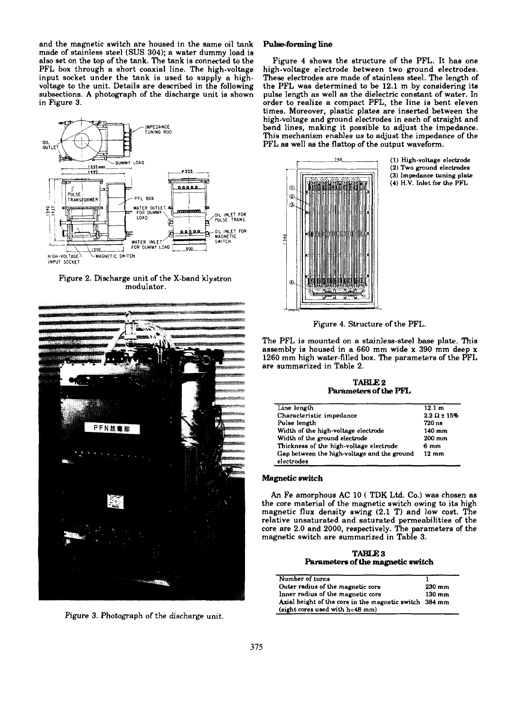and the magnetic switch are housed in the same oil tank made of stainless steel (SUS 304); a water dummy load is also set on the top of the tank. The tank is connected to the PPL box through a short coaxial line. The high-voltage input socket under the tank is used to supply a highvoltage to the unit. Details are described in the following subsections. A photograph of the discharge unit is shown in Figure 3.



Figure 2. Discharge unit of the X-band klystron modulator.



Figure 3. Photograph of the discharge unit.

### **Pulse-forming line**

Figure 4 shows the structure of the PFL. It has one high-voltage electrode between two ground electrodes. These electrodes are made of stainless steel. The length of the PFL was determined to be 12.1 m by considering its pulse length as well as the dielectric constant of water. In order to realize a compact PFL, the line is bent eleven times. Moreover, plastic plates are inserted between the high-voltage and ground electrodes in each of straight and bend lines, making it possible to adjust the impedance. This mechanism enables us to adjust the impedance *of* the PFL as well as the flattop of the output waveform.



**(1) High-voltage electrode (2) Two ground electrodes**

- **(3) Impedance tuning plate**
- **(4) H.V. Inlet for the PFL**

Figure 4. Structure of the PFL.

The PFL is mounted on a stainless-steel base plate. This assembly is housed in a 660 mm wide x 390 mm deep x 1260 mm high water-filled box. The parameters of the PFL are summarized in Table 2.

**TABLE**2 **Parameters** of **the PFL**

| Line length                                 | 12.1 m                 |
|---------------------------------------------|------------------------|
| Characteristic impedance                    | $2.2 \Omega \pm 15 \%$ |
| Pulse length                                | 720 ns                 |
| Width of the high-voltage electrode         | 140 mm                 |
| Width of the ground electrode               | 200 mm                 |
| Thickness of the high-voltage electrode     | 6 mm                   |
| Gap between the high-voltage and the ground | $12 \text{ mm}$        |
| electrodes                                  |                        |

## **Magnetic switch**

An Fe amorphous AC 10 ( TDK Ltd. Co.) was chosen as the core material of the magnetic switch owing to its high magnetic flux density swing (2.1 T) and low cost. The relative unsaturated and saturated permeabilities of the core are 2.0 and 2000, respectively. The parameters of the magnetic switch are summarized in Table 3.

**TABLE3 Parameters of the magnetic switch**

| Number of turns                                        |                  |
|--------------------------------------------------------|------------------|
| Outer radius of the magnetic core                      | $230 \text{ mm}$ |
| Inner radius of the magnetic core                      | $130 \text{ mm}$ |
| Axial height of the core in the magnetic switch 384 mm |                  |
| (eight cores used with $h=48$ mm)                      |                  |